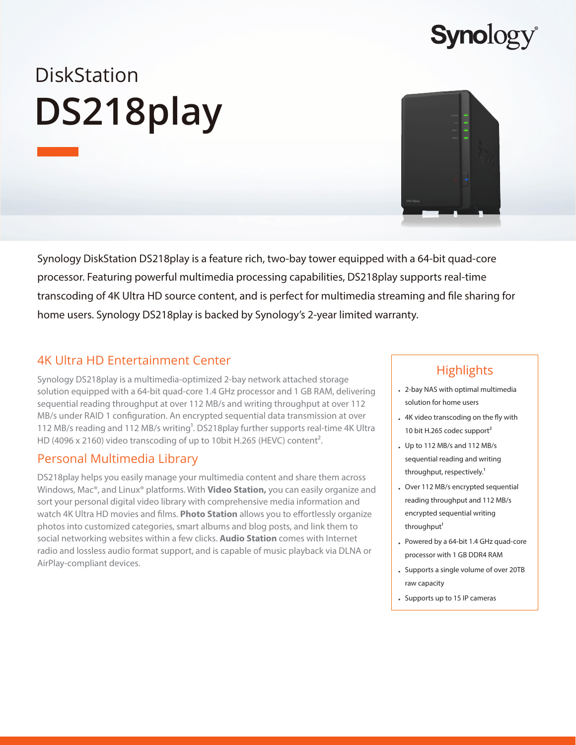

# **DiskStation DS218play**

Synology DiskStation DS218play is a feature rich, two-bay tower equipped with a 64-bit quad-core processor. Featuring powerful multimedia processing capabilities, DS218play supports real-time transcoding of 4K Ultra HD source content, and is perfect for multimedia streaming and file sharing for home users. Synology DS218play is backed by Synology's 2-year limited warranty.

## 4K Ultra HD Entertainment Center

Synology DS218play is a multimedia-optimized 2-bay network attached storage solution equipped with a 64-bit quad-core 1.4 GHz processor and 1 GB RAM, delivering sequential reading throughput at over 112 MB/s and writing throughput at over 112 MB/s under RAID 1 configuration. An encrypted sequential data transmission at over 112 MB/s reading and 112 MB/s writing<sup>1</sup>. DS218play further supports real-time 4K Ultra HD (4096 x 2160) video transcoding of up to 10bit H.265 (HEVC) content<sup>2</sup>.

## Personal Multimedia Library

DS218play helps you easily manage your multimedia content and share them across Windows, Mac®, and Linux® platforms. With **Video Station,** you can easily organize and sort your personal digital video library with comprehensive media information and watch 4K Ultra HD movies and films. **Photo Station** allows you to effortlessly organize photos into customized categories, smart albums and blog posts, and link them to social networking websites within a few clicks. **Audio Station** comes with Internet radio and lossless audio format support, and is capable of music playback via DLNA or AirPlay-compliant devices.

## **Highlights**

- 2-bay NAS with optimal multimedia solution for home users
- 4K video transcoding on the fly with 10 bit H.265 codec support<sup>2</sup>
- Up to 112 MB/s and 112 MB/s sequential reading and writing throughput, respectively.<sup>1</sup>
- Over 112 MB/s encrypted sequential reading throughput and 112 MB/s encrypted sequential writing throughput<sup>1</sup>
- Powered by a 64-bit 1.4 GHz quad-core processor with 1 GB DDR4 RAM
- Supports a single volume of over 20TB raw capacity
- Supports up to 15 IP cameras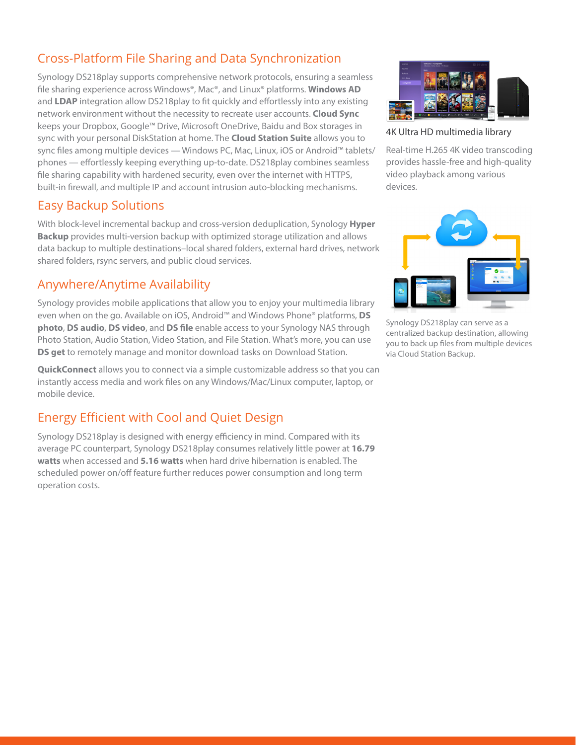## Cross-Platform File Sharing and Data Synchronization

Synology DS218play supports comprehensive network protocols, ensuring a seamless file sharing experience across Windows®, Mac®, and Linux® platforms. **Windows AD** and **LDAP** integration allow DS218play to fit quickly and effortlessly into any existing network environment without the necessity to recreate user accounts. **Cloud Sync** keeps your Dropbox, Google™ Drive, Microsoft OneDrive, Baidu and Box storages in sync with your personal DiskStation at home. The **Cloud Station Suite** allows you to sync files among multiple devices — Windows PC, Mac, Linux, iOS or Android™ tablets/ phones — effortlessly keeping everything up-to-date. DS218play combines seamless file sharing capability with hardened security, even over the internet with HTTPS, built-in firewall, and multiple IP and account intrusion auto-blocking mechanisms.

## Easy Backup Solutions

With block-level incremental backup and cross-version deduplication, Synology **Hyper Backup** provides multi-version backup with optimized storage utilization and allows data backup to multiple destinations–local shared folders, external hard drives, network shared folders, rsync servers, and public cloud services.

## Anywhere/Anytime Availability

Synology provides mobile applications that allow you to enjoy your multimedia library even when on the go. Available on iOS, Android™ and Windows Phone® platforms, **DS photo**, **DS audio**, **DS video**, and **DS file** enable access to your Synology NAS through Photo Station, Audio Station, Video Station, and File Station. What's more, you can use **DS get** to remotely manage and monitor download tasks on Download Station.

**QuickConnect** allows you to connect via a simple customizable address so that you can instantly access media and work files on any Windows/Mac/Linux computer, laptop, or mobile device.

## Energy Efficient with Cool and Quiet Design

Synology DS218play is designed with energy efficiency in mind. Compared with its average PC counterpart, Synology DS218play consumes relatively little power at **16.79 watts** when accessed and **5.16 watts** when hard drive hibernation is enabled. The scheduled power on/off feature further reduces power consumption and long term operation costs.



4K Ultra HD multimedia library

Real-time H.265 4K video transcoding provides hassle-free and high-quality video playback among various devices.



Synology DS218play can serve as a centralized backup destination, allowing you to back up files from multiple devices via Cloud Station Backup.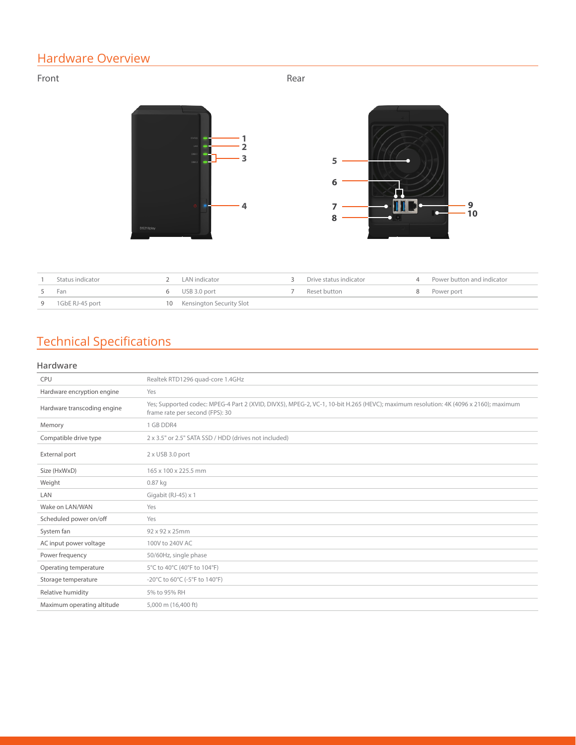# Hardware Overview

### Front **Rear**



| Status indicator  | 2 LAN indicator             | Drive status indicator | 4 Power button and indicator |
|-------------------|-----------------------------|------------------------|------------------------------|
| 5 Fan             | 6 USB 3.0 port              | Reset button           | 8 Power port                 |
| 9 1GbE RJ-45 port | 10 Kensington Security Slot |                        |                              |

# Technical Specifications

#### **Hardware**

| <b>CPU</b>                  | Realtek RTD1296 quad-core 1.4GHz                                                                                                                                       |  |  |  |
|-----------------------------|------------------------------------------------------------------------------------------------------------------------------------------------------------------------|--|--|--|
| Hardware encryption engine  | Yes                                                                                                                                                                    |  |  |  |
| Hardware transcoding engine | Yes; Supported codec: MPEG-4 Part 2 (XVID, DIVX5), MPEG-2, VC-1, 10-bit H.265 (HEVC); maximum resolution: 4K (4096 x 2160); maximum<br>frame rate per second (FPS): 30 |  |  |  |
| Memory                      | 1 GB DDR4                                                                                                                                                              |  |  |  |
| Compatible drive type       | 2 x 3.5" or 2.5" SATA SSD / HDD (drives not included)                                                                                                                  |  |  |  |
| External port               | 2 x USB 3.0 port                                                                                                                                                       |  |  |  |
| Size (HxWxD)                | 165 x 100 x 225.5 mm                                                                                                                                                   |  |  |  |
| Weight                      | $0.87$ kg                                                                                                                                                              |  |  |  |
| LAN                         | Gigabit (RJ-45) x 1                                                                                                                                                    |  |  |  |
| Wake on LAN/WAN             | Yes                                                                                                                                                                    |  |  |  |
| Scheduled power on/off      | Yes                                                                                                                                                                    |  |  |  |
| System fan                  | 92 x 92 x 25mm                                                                                                                                                         |  |  |  |
| AC input power voltage      | 100V to 240V AC                                                                                                                                                        |  |  |  |
| Power frequency             | 50/60Hz, single phase                                                                                                                                                  |  |  |  |
| Operating temperature       | 5°C to 40°C (40°F to 104°F)                                                                                                                                            |  |  |  |
| Storage temperature         | $-20^{\circ}$ C to 60 $^{\circ}$ C (-5 $^{\circ}$ F to 140 $^{\circ}$ F)                                                                                               |  |  |  |
| Relative humidity           | 5% to 95% RH                                                                                                                                                           |  |  |  |
| Maximum operating altitude  | 5,000 m (16,400 ft)                                                                                                                                                    |  |  |  |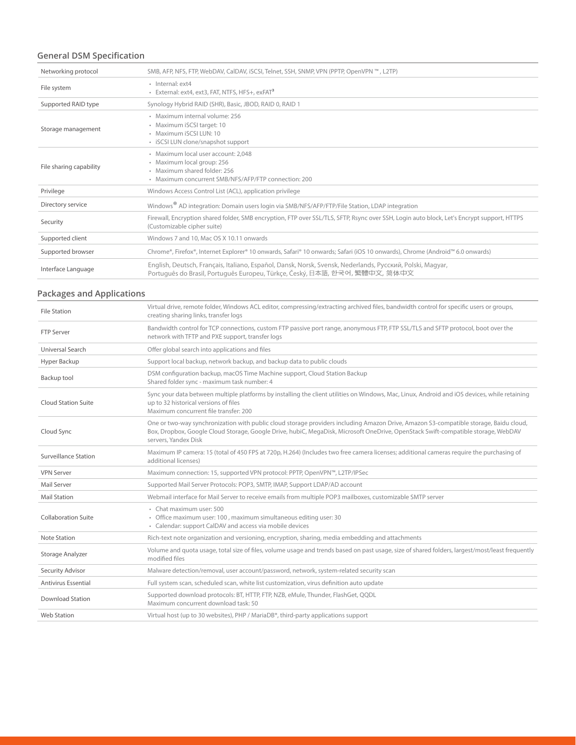## **General DSM Specification**

| Networking protocol     | SMB, AFP, NFS, FTP, WebDAV, CalDAV, iSCSI, Telnet, SSH, SNMP, VPN (PPTP, OpenVPN ™, L2TP)                                                                                                |
|-------------------------|------------------------------------------------------------------------------------------------------------------------------------------------------------------------------------------|
| File system             | · Internal: ext4<br>· External: ext4, ext3, FAT, NTFS, HFS+, exFAT <sup>3</sup>                                                                                                          |
| Supported RAID type     | Synology Hybrid RAID (SHR), Basic, JBOD, RAID 0, RAID 1                                                                                                                                  |
| Storage management      | · Maximum internal volume: 256<br>· Maximum iSCSI target: 10<br>· Maximum iSCSI LUN: 10<br>· iSCSI LUN clone/snapshot support                                                            |
| File sharing capability | · Maximum local user account: 2,048<br>· Maximum local group: 256<br>· Maximum shared folder: 256<br>· Maximum concurrent SMB/NFS/AFP/FTP connection: 200                                |
| Privilege               | Windows Access Control List (ACL), application privilege                                                                                                                                 |
| Directory service       | Windows <sup>®</sup> AD integration: Domain users login via SMB/NFS/AFP/FTP/File Station, LDAP integration                                                                               |
| Security                | Firewall, Encryption shared folder, SMB encryption, FTP over SSL/TLS, SFTP, Rsync over SSH, Login auto block, Let's Encrypt support, HTTPS<br>(Customizable cipher suite)                |
| Supported client        | Windows 7 and 10, Mac OS X 10.11 onwards                                                                                                                                                 |
| Supported browser       | Chrome®, Firefox®, Internet Explorer® 10 onwards, Safari® 10 onwards; Safari (iOS 10 onwards), Chrome (Android™ 6.0 onwards)                                                             |
| Interface Language      | English, Deutsch, Français, Italiano, Español, Dansk, Norsk, Svensk, Nederlands, Русский, Polski, Magyar,<br>Português do Brasil, Português Europeu, Türkçe, Český, 日本語, 한국어, 繁體中文, 简体中文 |

## **Packages and Applications**

| <b>File Station</b>         | Virtual drive, remote folder, Windows ACL editor, compressing/extracting archived files, bandwidth control for specific users or groups,<br>creating sharing links, transfer logs                                                                                                                  |
|-----------------------------|----------------------------------------------------------------------------------------------------------------------------------------------------------------------------------------------------------------------------------------------------------------------------------------------------|
| <b>FTP Server</b>           | Bandwidth control for TCP connections, custom FTP passive port range, anonymous FTP, FTP SSL/TLS and SFTP protocol, boot over the<br>network with TFTP and PXE support, transfer logs                                                                                                              |
| Universal Search            | Offer global search into applications and files                                                                                                                                                                                                                                                    |
| Hyper Backup                | Support local backup, network backup, and backup data to public clouds                                                                                                                                                                                                                             |
| Backup tool                 | DSM configuration backup, macOS Time Machine support, Cloud Station Backup<br>Shared folder sync - maximum task number: 4                                                                                                                                                                          |
| <b>Cloud Station Suite</b>  | Sync your data between multiple platforms by installing the client utilities on Windows, Mac, Linux, Android and iOS devices, while retaining<br>up to 32 historical versions of files<br>Maximum concurrent file transfer: 200                                                                    |
| Cloud Sync                  | One or two-way synchronization with public cloud storage providers including Amazon Drive, Amazon S3-compatible storage, Baidu cloud,<br>Box, Dropbox, Google Cloud Storage, Google Drive, hubiC, MegaDisk, Microsoft OneDrive, OpenStack Swift-compatible storage, WebDAV<br>servers, Yandex Disk |
| <b>Surveillance Station</b> | Maximum IP camera: 15 (total of 450 FPS at 720p, H.264) (Includes two free camera licenses; additional cameras require the purchasing of<br>additional licenses)                                                                                                                                   |
| <b>VPN Server</b>           | Maximum connection: 15, supported VPN protocol: PPTP, OpenVPN™, L2TP/IPSec                                                                                                                                                                                                                         |
| Mail Server                 | Supported Mail Server Protocols: POP3, SMTP, IMAP, Support LDAP/AD account                                                                                                                                                                                                                         |
| <b>Mail Station</b>         | Webmail interface for Mail Server to receive emails from multiple POP3 mailboxes, customizable SMTP server                                                                                                                                                                                         |
| <b>Collaboration Suite</b>  | · Chat maximum user: 500<br>• Office maximum user: 100, maximum simultaneous editing user: 30<br>• Calendar: support CalDAV and access via mobile devices                                                                                                                                          |
| Note Station                | Rich-text note organization and versioning, encryption, sharing, media embedding and attachments                                                                                                                                                                                                   |
| Storage Analyzer            | Volume and quota usage, total size of files, volume usage and trends based on past usage, size of shared folders, largest/most/least frequently<br>modified files                                                                                                                                  |
| Security Advisor            | Malware detection/removal, user account/password, network, system-related security scan                                                                                                                                                                                                            |
| <b>Antivirus Essential</b>  | Full system scan, scheduled scan, white list customization, virus definition auto update                                                                                                                                                                                                           |
| <b>Download Station</b>     | Supported download protocols: BT, HTTP, FTP, NZB, eMule, Thunder, FlashGet, QQDL<br>Maximum concurrent download task: 50                                                                                                                                                                           |
| <b>Web Station</b>          | Virtual host (up to 30 websites), PHP / MariaDB <sup>®</sup> , third-party applications support                                                                                                                                                                                                    |